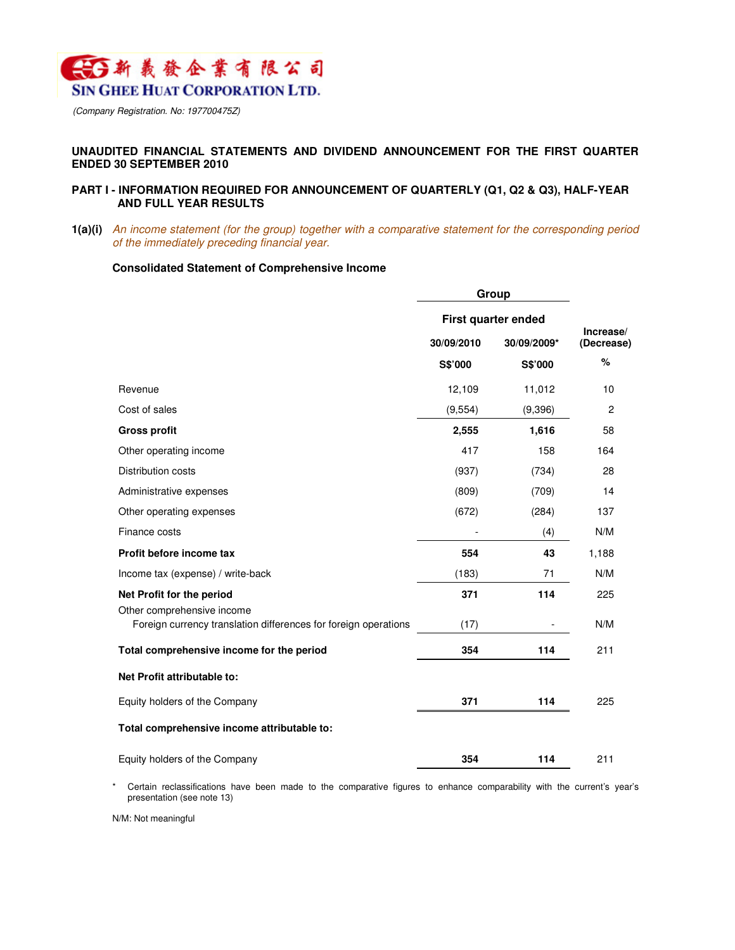

(Company Registration. No: 197700475Z)

## **UNAUDITED FINANCIAL STATEMENTS AND DIVIDEND ANNOUNCEMENT FOR THE FIRST QUARTER ENDED 30 SEPTEMBER 2010**

## **PART I - INFORMATION REQUIRED FOR ANNOUNCEMENT OF QUARTERLY (Q1, Q2 & Q3), HALF-YEAR AND FULL YEAR RESULTS**

**1(a)(i)** An income statement (for the group) together with a comparative statement for the corresponding period of the immediately preceding financial year.

#### **Consolidated Statement of Comprehensive Income**

|                                                                 | Group               |             |                         |  |
|-----------------------------------------------------------------|---------------------|-------------|-------------------------|--|
|                                                                 | First quarter ended |             |                         |  |
|                                                                 | 30/09/2010          | 30/09/2009* | Increase/<br>(Decrease) |  |
|                                                                 | S\$'000             | S\$'000     | %                       |  |
| Revenue                                                         | 12,109              | 11,012      | 10                      |  |
| Cost of sales                                                   | (9, 554)            | (9,396)     | $\overline{c}$          |  |
| <b>Gross profit</b>                                             | 2,555               | 1,616       | 58                      |  |
| Other operating income                                          | 417                 | 158         | 164                     |  |
| Distribution costs                                              | (937)               | (734)       | 28                      |  |
| Administrative expenses                                         | (809)               | (709)       | 14                      |  |
| Other operating expenses                                        | (672)               | (284)       | 137                     |  |
| Finance costs                                                   |                     | (4)         | N/M                     |  |
| Profit before income tax                                        | 554                 | 43          | 1,188                   |  |
| Income tax (expense) / write-back                               | (183)               | 71          | N/M                     |  |
| Net Profit for the period<br>Other comprehensive income         | 371                 | 114         | 225                     |  |
| Foreign currency translation differences for foreign operations | (17)                |             | N/M                     |  |
| Total comprehensive income for the period                       | 354                 | 114         | 211                     |  |
| Net Profit attributable to:                                     |                     |             |                         |  |
| Equity holders of the Company                                   | 371                 | 114         | 225                     |  |
| Total comprehensive income attributable to:                     |                     |             |                         |  |
| Equity holders of the Company                                   | 354                 | 114         | 211                     |  |

\* Certain reclassifications have been made to the comparative figures to enhance comparability with the current's year's presentation (see note 13)

N/M: Not meaningful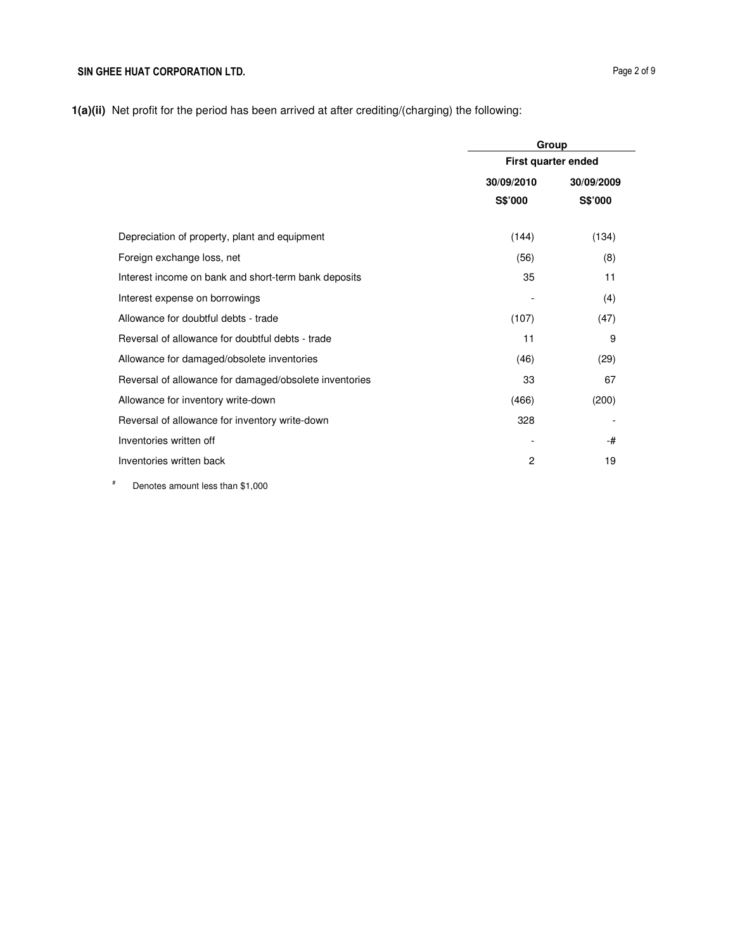|                                                        | Group                    |         |  |
|--------------------------------------------------------|--------------------------|---------|--|
|                                                        | First quarter ended      |         |  |
|                                                        | 30/09/2010<br>30/09/2009 |         |  |
|                                                        | S\$'000                  | S\$'000 |  |
| Depreciation of property, plant and equipment          | (144)                    | (134)   |  |
| Foreign exchange loss, net                             | (56)                     | (8)     |  |
| Interest income on bank and short-term bank deposits   | 35                       | 11      |  |
| Interest expense on borrowings                         |                          | (4)     |  |
| Allowance for doubtful debts - trade                   | (107)                    | (47)    |  |
| Reversal of allowance for doubtful debts - trade       | 11                       | 9       |  |
| Allowance for damaged/obsolete inventories             | (46)                     | (29)    |  |
| Reversal of allowance for damaged/obsolete inventories | 33                       | 67      |  |
| Allowance for inventory write-down                     | (466)                    | (200)   |  |
| Reversal of allowance for inventory write-down         | 328                      |         |  |
| Inventories written off                                |                          | -#      |  |
| Inventories written back                               | 2                        | 19      |  |

# Denotes amount less than \$1,000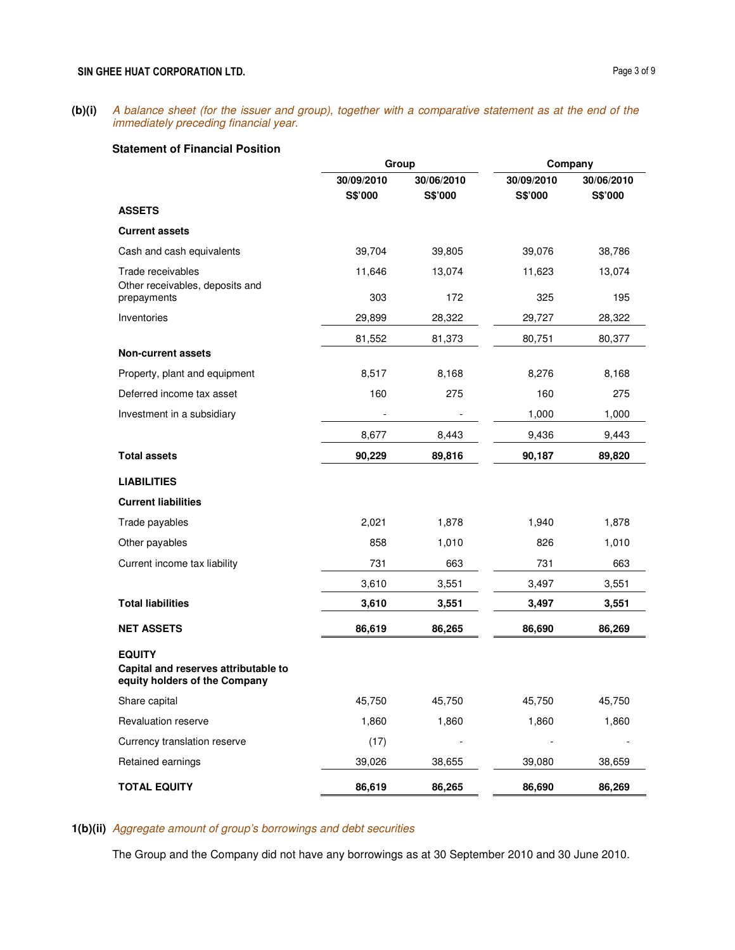## **(b)(i)** A balance sheet (for the issuer and group), together with a comparative statement as at the end of the immediately preceding financial year.

## **Statement of Financial Position**

|                                                                                        | Group         |               |               | Company       |
|----------------------------------------------------------------------------------------|---------------|---------------|---------------|---------------|
|                                                                                        | 30/09/2010    | 30/06/2010    | 30/09/2010    | 30/06/2010    |
|                                                                                        | S\$'000       | S\$'000       | S\$'000       | S\$'000       |
| <b>ASSETS</b>                                                                          |               |               |               |               |
| <b>Current assets</b>                                                                  |               |               |               |               |
| Cash and cash equivalents                                                              | 39,704        | 39,805        | 39,076        | 38,786        |
| Trade receivables<br>Other receivables, deposits and<br>prepayments                    | 11,646<br>303 | 13,074<br>172 | 11,623<br>325 | 13,074<br>195 |
| Inventories                                                                            | 29,899        | 28,322        | 29,727        | 28,322        |
|                                                                                        |               |               |               |               |
| <b>Non-current assets</b>                                                              | 81,552        | 81,373        | 80,751        | 80,377        |
| Property, plant and equipment                                                          | 8,517         | 8,168         | 8,276         | 8,168         |
| Deferred income tax asset                                                              | 160           | 275           | 160           | 275           |
| Investment in a subsidiary                                                             |               |               | 1,000         | 1,000         |
|                                                                                        | 8,677         | 8,443         | 9,436         | 9,443         |
| <b>Total assets</b>                                                                    | 90,229        | 89,816        | 90,187        | 89,820        |
| <b>LIABILITIES</b>                                                                     |               |               |               |               |
| <b>Current liabilities</b>                                                             |               |               |               |               |
| Trade payables                                                                         | 2,021         | 1,878         | 1,940         | 1,878         |
| Other payables                                                                         | 858           | 1,010         | 826           | 1,010         |
| Current income tax liability                                                           | 731           | 663           | 731           | 663           |
|                                                                                        | 3,610         | 3,551         | 3,497         | 3,551         |
| <b>Total liabilities</b>                                                               | 3,610         | 3,551         | 3,497         | 3,551         |
| <b>NET ASSETS</b>                                                                      | 86,619        | 86,265        | 86,690        | 86,269        |
| <b>EQUITY</b><br>Capital and reserves attributable to<br>equity holders of the Company |               |               |               |               |
| Share capital                                                                          | 45,750        | 45,750        | 45,750        | 45,750        |
| Revaluation reserve                                                                    | 1,860         | 1,860         | 1,860         | 1,860         |
| Currency translation reserve                                                           | (17)          |               |               |               |
| Retained earnings                                                                      | 39,026        | 38,655        | 39,080        | 38,659        |
| <b>TOTAL EQUITY</b>                                                                    | 86,619        | 86,265        | 86,690        | 86,269        |

# **1(b)(ii)** Aggregate amount of group's borrowings and debt securities

The Group and the Company did not have any borrowings as at 30 September 2010 and 30 June 2010.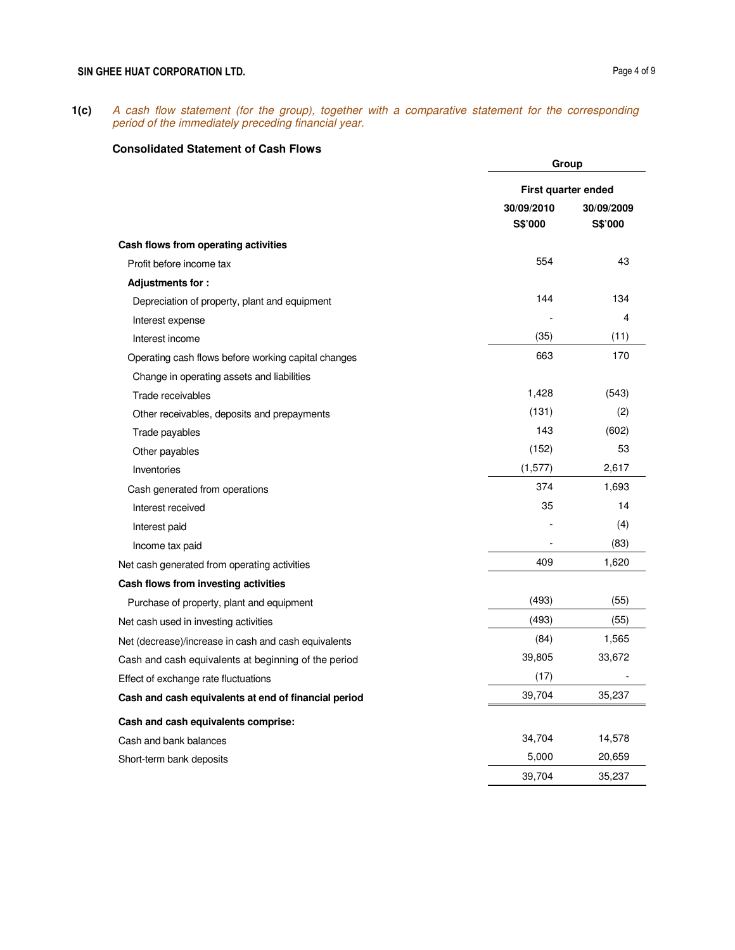## SIN GHEE HUAT CORPORATION LTD. **Page 4 of 9**

**1(c)** A cash flow statement (for the group), together with a comparative statement for the corresponding period of the immediately preceding financial year.

# **Consolidated Statement of Cash Flows**

|                                                      |            | Group               |  |  |
|------------------------------------------------------|------------|---------------------|--|--|
|                                                      |            | First quarter ended |  |  |
|                                                      | 30/09/2010 | 30/09/2009          |  |  |
|                                                      | S\$'000    | S\$'000             |  |  |
| Cash flows from operating activities                 |            |                     |  |  |
| Profit before income tax                             | 554        | 43                  |  |  |
| Adjustments for:                                     |            |                     |  |  |
| Depreciation of property, plant and equipment        | 144        | 134                 |  |  |
| Interest expense                                     |            | 4                   |  |  |
| Interest income                                      | (35)       | (11)                |  |  |
| Operating cash flows before working capital changes  | 663        | 170                 |  |  |
| Change in operating assets and liabilities           |            |                     |  |  |
| Trade receivables                                    | 1,428      | (543)               |  |  |
| Other receivables, deposits and prepayments          | (131)      | (2)                 |  |  |
| Trade payables                                       | 143        | (602)               |  |  |
| Other payables                                       | (152)      | 53                  |  |  |
| Inventories                                          | (1,577)    | 2,617               |  |  |
| Cash generated from operations                       | 374        | 1,693               |  |  |
| Interest received                                    | 35         | 14                  |  |  |
| Interest paid                                        |            | (4)                 |  |  |
| Income tax paid                                      |            | (83)                |  |  |
| Net cash generated from operating activities         | 409        | 1,620               |  |  |
| Cash flows from investing activities                 |            |                     |  |  |
| Purchase of property, plant and equipment            | (493)      | (55)                |  |  |
| Net cash used in investing activities                | (493)      | (55)                |  |  |
| Net (decrease)/increase in cash and cash equivalents | (84)       | 1,565               |  |  |
| Cash and cash equivalents at beginning of the period | 39,805     | 33,672              |  |  |
| Effect of exchange rate fluctuations                 | (17)       |                     |  |  |
| Cash and cash equivalents at end of financial period | 39,704     | 35,237              |  |  |
| Cash and cash equivalents comprise:                  |            |                     |  |  |
| Cash and bank balances                               | 34,704     | 14,578              |  |  |
| Short-term bank deposits                             | 5,000      | 20,659              |  |  |
|                                                      | 39,704     | 35,237              |  |  |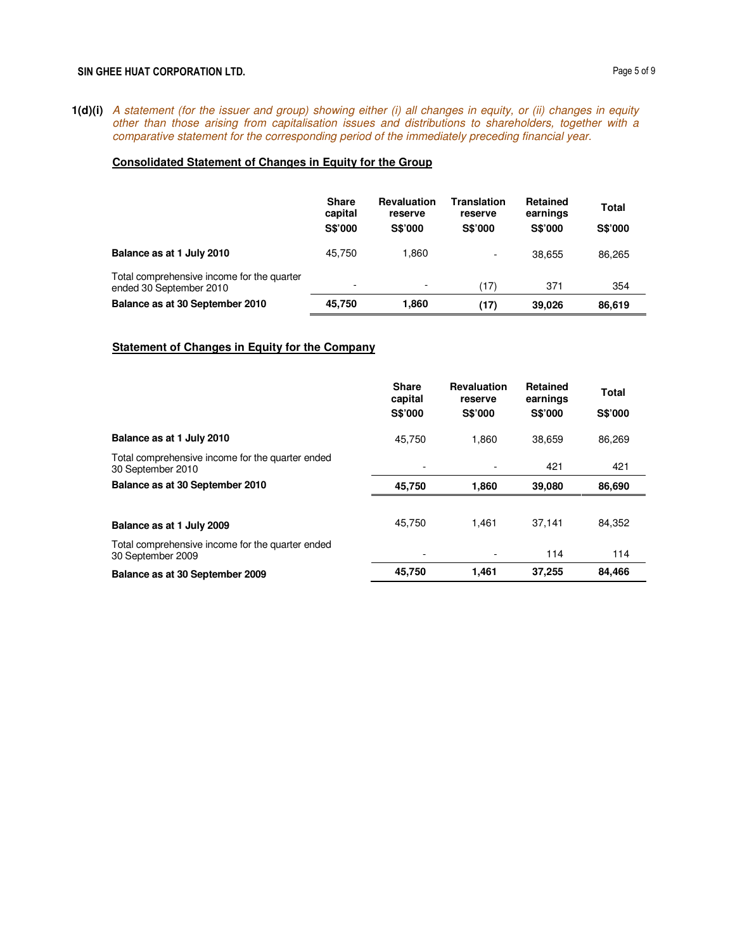#### SIN GHEE HUAT CORPORATION LTD. **Page 5 of 9**

**1(d)(i)** A statement (for the issuer and group) showing either (i) all changes in equity, or (ii) changes in equity other than those arising from capitalisation issues and distributions to shareholders, together with a comparative statement for the corresponding period of the immediately preceding financial year.

# **Consolidated Statement of Changes in Equity for the Group**

|                                                                       | <b>Share</b><br>capital<br><b>S\$'000</b> | <b>Revaluation</b><br>reserve<br><b>S\$'000</b> | Translation<br>reserve<br><b>S\$'000</b> | <b>Retained</b><br>earnings<br><b>S\$'000</b> | Total<br><b>S\$'000</b> |
|-----------------------------------------------------------------------|-------------------------------------------|-------------------------------------------------|------------------------------------------|-----------------------------------------------|-------------------------|
| Balance as at 1 July 2010                                             | 45.750                                    | 1.860                                           |                                          | 38.655                                        | 86.265                  |
| Total comprehensive income for the quarter<br>ended 30 September 2010 | $\overline{\phantom{0}}$                  | $\overline{\phantom{0}}$                        | (17)                                     | 371                                           | 354                     |
| Balance as at 30 September 2010                                       | 45.750                                    | 1.860                                           | (17)                                     | 39.026                                        | 86,619                  |

### **Statement of Changes in Equity for the Company**

|                                                                       | <b>Share</b><br>capital | <b>Revaluation</b><br>reserve | <b>Retained</b><br>earnings | Total          |
|-----------------------------------------------------------------------|-------------------------|-------------------------------|-----------------------------|----------------|
|                                                                       | <b>S\$'000</b>          | <b>S\$'000</b>                | <b>S\$'000</b>              | <b>S\$'000</b> |
| Balance as at 1 July 2010                                             | 45.750                  | 1,860                         | 38.659                      | 86,269         |
| Total comprehensive income for the quarter ended<br>30 September 2010 |                         |                               | 421                         | 421            |
| Balance as at 30 September 2010                                       | 45,750                  | 1,860                         | 39,080                      | 86,690         |
|                                                                       |                         |                               |                             |                |
| Balance as at 1 July 2009                                             | 45.750                  | 1.461                         | 37.141                      | 84.352         |
| Total comprehensive income for the quarter ended<br>30 September 2009 |                         |                               | 114                         | 114            |
| Balance as at 30 September 2009                                       | 45,750                  | 1.461                         | 37,255                      | 84,466         |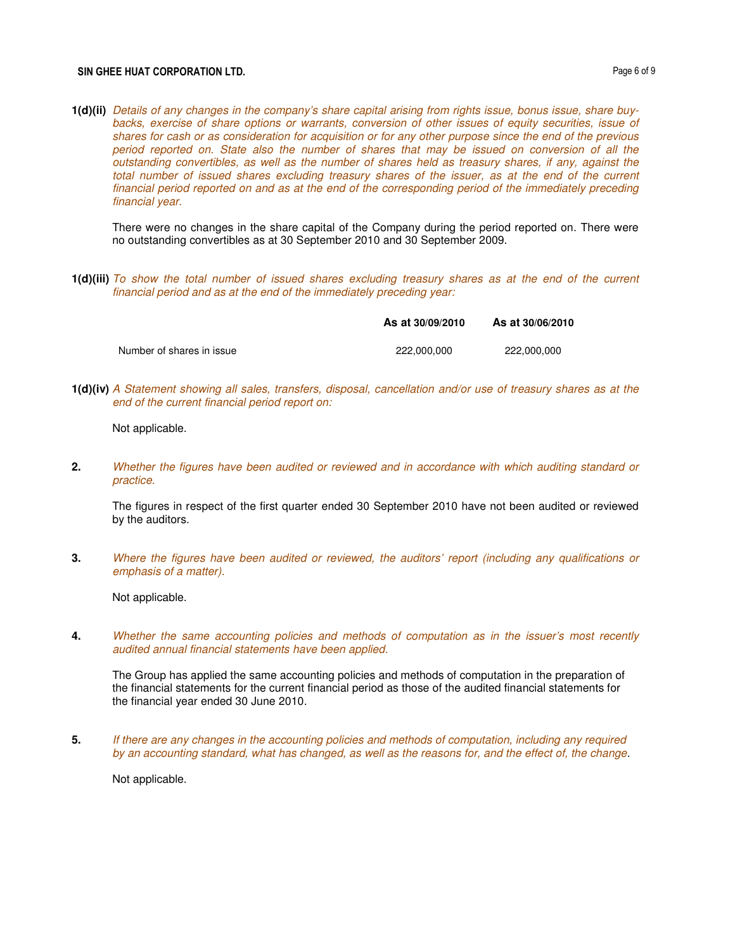#### SIN GHEE HUAT CORPORATION LTD. **Page 6 of 9**

**1(d)(ii)** Details of any changes in the company's share capital arising from rights issue, bonus issue, share buybacks, exercise of share options or warrants, conversion of other issues of equity securities, issue of shares for cash or as consideration for acquisition or for any other purpose since the end of the previous period reported on. State also the number of shares that may be issued on conversion of all the outstanding convertibles, as well as the number of shares held as treasury shares, if any, against the total number of issued shares excluding treasury shares of the issuer, as at the end of the current financial period reported on and as at the end of the corresponding period of the immediately preceding financial year.

There were no changes in the share capital of the Company during the period reported on. There were no outstanding convertibles as at 30 September 2010 and 30 September 2009.

**1(d)(iii)** To show the total number of issued shares excluding treasury shares as at the end of the current financial period and as at the end of the immediately preceding year:

|                           | As at 30/09/2010 | As at 30/06/2010 |
|---------------------------|------------------|------------------|
| Number of shares in issue | 222.000.000      | 222.000.000      |

**1(d)(iv)** A Statement showing all sales, transfers, disposal, cancellation and/or use of treasury shares as at the end of the current financial period report on:

Not applicable.

**2.** Whether the figures have been audited or reviewed and in accordance with which auditing standard or practice.

The figures in respect of the first quarter ended 30 September 2010 have not been audited or reviewed by the auditors.

**3.** Where the figures have been audited or reviewed, the auditors' report (including any qualifications or emphasis of a matter).

Not applicable.

**4.** Whether the same accounting policies and methods of computation as in the issuer's most recently audited annual financial statements have been applied.

The Group has applied the same accounting policies and methods of computation in the preparation of the financial statements for the current financial period as those of the audited financial statements for the financial year ended 30 June 2010.

**5.** If there are any changes in the accounting policies and methods of computation, including any required by an accounting standard, what has changed, as well as the reasons for, and the effect of, the change.

Not applicable.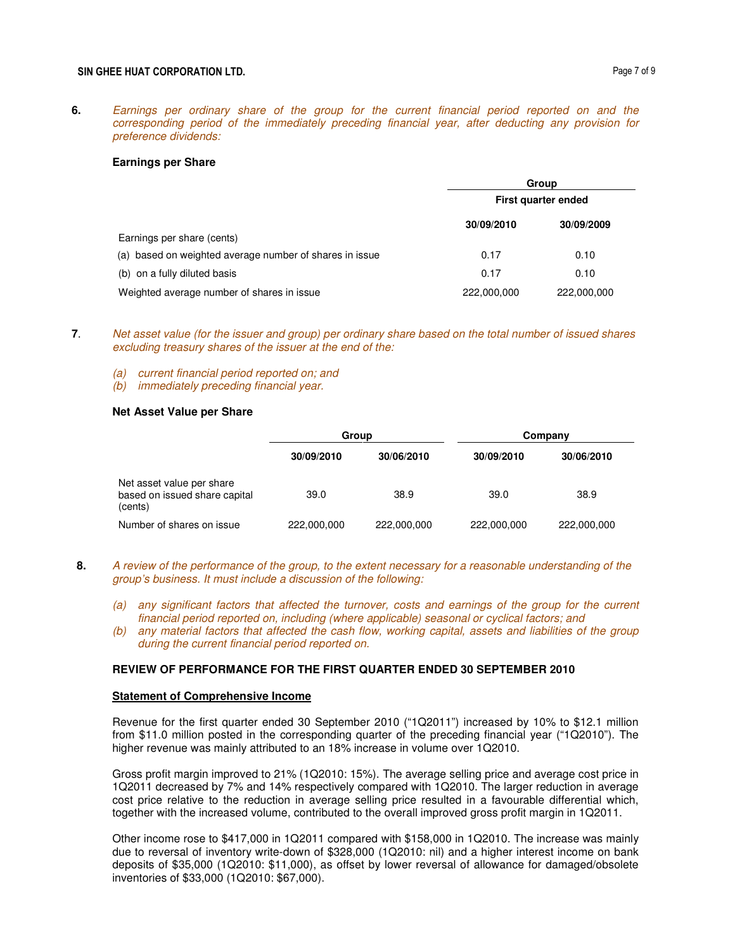**6.** Earnings per ordinary share of the group for the current financial period reported on and the corresponding period of the immediately preceding financial year, after deducting any provision for preference dividends:

#### **Earnings per Share**

|                                                         |                     | Group       |  |  |
|---------------------------------------------------------|---------------------|-------------|--|--|
|                                                         | First quarter ended |             |  |  |
|                                                         | 30/09/2010          | 30/09/2009  |  |  |
| Earnings per share (cents)                              |                     |             |  |  |
| (a) based on weighted average number of shares in issue | 0.17                | 0.10        |  |  |
| (b) on a fully diluted basis                            | 0.17                | 0.10        |  |  |
| Weighted average number of shares in issue              | 222,000,000         | 222,000,000 |  |  |

- **7**. Net asset value (for the issuer and group) per ordinary share based on the total number of issued shares excluding treasury shares of the issuer at the end of the:
	- (a) current financial period reported on; and
	- (b) immediately preceding financial year.

#### **Net Asset Value per Share**

|                                                                       | Group       |             | Company     |             |
|-----------------------------------------------------------------------|-------------|-------------|-------------|-------------|
|                                                                       | 30/09/2010  | 30/06/2010  | 30/09/2010  | 30/06/2010  |
| Net asset value per share<br>based on issued share capital<br>(cents) | 39.0        | 38.9        | 39.0        | 38.9        |
| Number of shares on issue                                             | 222,000,000 | 222,000,000 | 222,000,000 | 222,000,000 |

- **8.** A review of the performance of the group, to the extent necessary for a reasonable understanding of the group's business. It must include a discussion of the following:
	- (a) any significant factors that affected the turnover, costs and earnings of the group for the current financial period reported on, including (where applicable) seasonal or cyclical factors; and
	- (b) any material factors that affected the cash flow, working capital, assets and liabilities of the group during the current financial period reported on.

### **REVIEW OF PERFORMANCE FOR THE FIRST QUARTER ENDED 30 SEPTEMBER 2010**

### **Statement of Comprehensive Income**

Revenue for the first quarter ended 30 September 2010 ("1Q2011") increased by 10% to \$12.1 million from \$11.0 million posted in the corresponding quarter of the preceding financial year ("1Q2010"). The higher revenue was mainly attributed to an 18% increase in volume over 1Q2010.

Gross profit margin improved to 21% (1Q2010: 15%). The average selling price and average cost price in 1Q2011 decreased by 7% and 14% respectively compared with 1Q2010. The larger reduction in average cost price relative to the reduction in average selling price resulted in a favourable differential which, together with the increased volume, contributed to the overall improved gross profit margin in 1Q2011.

Other income rose to \$417,000 in 1Q2011 compared with \$158,000 in 1Q2010. The increase was mainly due to reversal of inventory write-down of \$328,000 (1Q2010: nil) and a higher interest income on bank deposits of \$35,000 (1Q2010: \$11,000), as offset by lower reversal of allowance for damaged/obsolete inventories of \$33,000 (1Q2010: \$67,000).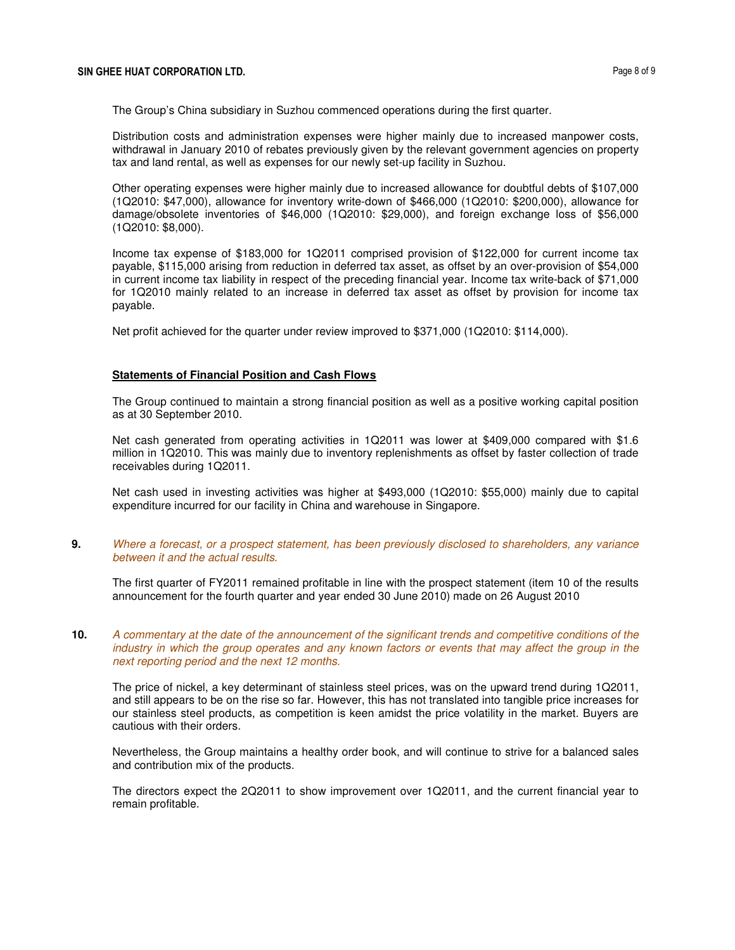The Group's China subsidiary in Suzhou commenced operations during the first quarter.

Distribution costs and administration expenses were higher mainly due to increased manpower costs, withdrawal in January 2010 of rebates previously given by the relevant government agencies on property tax and land rental, as well as expenses for our newly set-up facility in Suzhou.

Other operating expenses were higher mainly due to increased allowance for doubtful debts of \$107,000 (1Q2010: \$47,000), allowance for inventory write-down of \$466,000 (1Q2010: \$200,000), allowance for damage/obsolete inventories of \$46,000 (1Q2010: \$29,000), and foreign exchange loss of \$56,000 (1Q2010: \$8,000).

Income tax expense of \$183,000 for 1Q2011 comprised provision of \$122,000 for current income tax payable, \$115,000 arising from reduction in deferred tax asset, as offset by an over-provision of \$54,000 in current income tax liability in respect of the preceding financial year. Income tax write-back of \$71,000 for 1Q2010 mainly related to an increase in deferred tax asset as offset by provision for income tax payable.

Net profit achieved for the quarter under review improved to \$371,000 (1Q2010: \$114,000).

## **Statements of Financial Position and Cash Flows**

The Group continued to maintain a strong financial position as well as a positive working capital position as at 30 September 2010.

Net cash generated from operating activities in 1Q2011 was lower at \$409,000 compared with \$1.6 million in 1Q2010. This was mainly due to inventory replenishments as offset by faster collection of trade receivables during 1Q2011.

Net cash used in investing activities was higher at \$493,000 (1Q2010: \$55,000) mainly due to capital expenditure incurred for our facility in China and warehouse in Singapore.

**9.** Where a forecast, or a prospect statement, has been previously disclosed to shareholders, any variance between it and the actual results.

The first quarter of FY2011 remained profitable in line with the prospect statement (item 10 of the results announcement for the fourth quarter and year ended 30 June 2010) made on 26 August 2010

**10.** A commentary at the date of the announcement of the significant trends and competitive conditions of the industry in which the group operates and any known factors or events that may affect the group in the next reporting period and the next 12 months.

The price of nickel, a key determinant of stainless steel prices, was on the upward trend during 1Q2011, and still appears to be on the rise so far. However, this has not translated into tangible price increases for our stainless steel products, as competition is keen amidst the price volatility in the market. Buyers are cautious with their orders.

Nevertheless, the Group maintains a healthy order book, and will continue to strive for a balanced sales and contribution mix of the products.

The directors expect the 2Q2011 to show improvement over 1Q2011, and the current financial year to remain profitable.